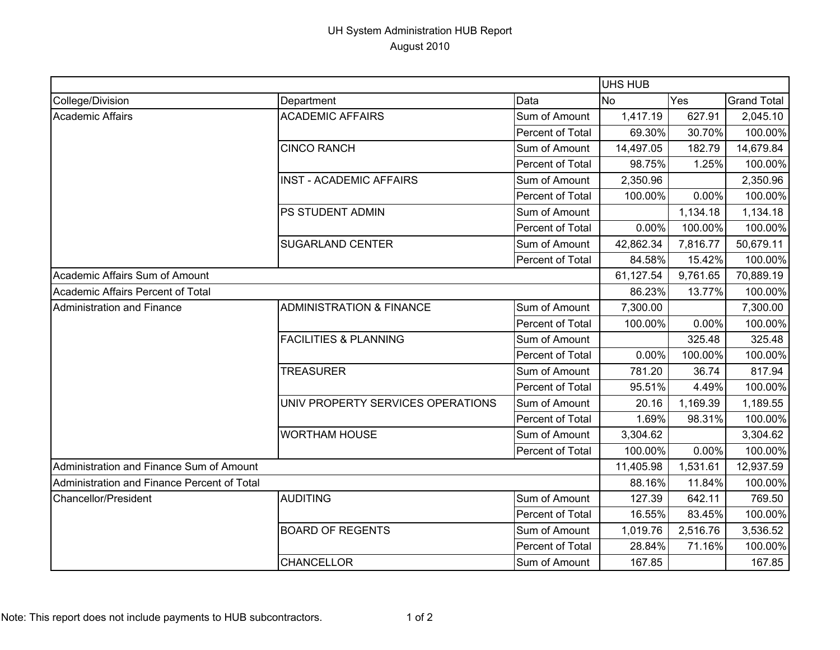## UH System Administration HUB Report August 2010

|                                             |                                     |                  | <b>UHS HUB</b> |          |                    |
|---------------------------------------------|-------------------------------------|------------------|----------------|----------|--------------------|
| College/Division                            | Department                          | Data             | No             | Yes      | <b>Grand Total</b> |
| <b>Academic Affairs</b>                     | <b>ACADEMIC AFFAIRS</b>             | Sum of Amount    | 1,417.19       | 627.91   | 2,045.10           |
|                                             |                                     | Percent of Total | 69.30%         | 30.70%   | 100.00%            |
|                                             | <b>CINCO RANCH</b>                  | Sum of Amount    | 14,497.05      | 182.79   | 14,679.84          |
|                                             |                                     | Percent of Total | 98.75%         | 1.25%    | 100.00%            |
|                                             | <b>INST - ACADEMIC AFFAIRS</b>      | Sum of Amount    | 2,350.96       |          | 2,350.96           |
|                                             |                                     | Percent of Total | 100.00%        | 0.00%    | 100.00%            |
|                                             | PS STUDENT ADMIN                    | Sum of Amount    |                | 1,134.18 | 1,134.18           |
|                                             |                                     | Percent of Total | 0.00%          | 100.00%  | 100.00%            |
|                                             | <b>SUGARLAND CENTER</b>             | Sum of Amount    | 42,862.34      | 7,816.77 | 50,679.11          |
|                                             |                                     | Percent of Total | 84.58%         | 15.42%   | 100.00%            |
| Academic Affairs Sum of Amount              |                                     |                  | 61,127.54      | 9,761.65 | 70,889.19          |
| Academic Affairs Percent of Total           |                                     |                  | 86.23%         | 13.77%   | 100.00%            |
| Administration and Finance                  | <b>ADMINISTRATION &amp; FINANCE</b> | Sum of Amount    | 7,300.00       |          | 7,300.00           |
|                                             |                                     | Percent of Total | 100.00%        | 0.00%    | 100.00%            |
|                                             | <b>FACILITIES &amp; PLANNING</b>    | Sum of Amount    |                | 325.48   | 325.48             |
|                                             |                                     | Percent of Total | 0.00%          | 100.00%  | 100.00%            |
|                                             | <b>TREASURER</b>                    | Sum of Amount    | 781.20         | 36.74    | 817.94             |
|                                             |                                     | Percent of Total | 95.51%         | 4.49%    | 100.00%            |
|                                             | UNIV PROPERTY SERVICES OPERATIONS   | Sum of Amount    | 20.16          | 1,169.39 | 1,189.55           |
|                                             |                                     | Percent of Total | 1.69%          | 98.31%   | 100.00%            |
|                                             | <b>WORTHAM HOUSE</b>                | Sum of Amount    | 3,304.62       |          | 3,304.62           |
|                                             |                                     | Percent of Total | 100.00%        | 0.00%    | 100.00%            |
| Administration and Finance Sum of Amount    |                                     |                  | 11,405.98      | 1,531.61 | 12,937.59          |
| Administration and Finance Percent of Total |                                     |                  | 88.16%         | 11.84%   | 100.00%            |
| Chancellor/President                        | <b>AUDITING</b>                     | Sum of Amount    | 127.39         | 642.11   | 769.50             |
|                                             |                                     | Percent of Total | 16.55%         | 83.45%   | 100.00%            |
|                                             | <b>BOARD OF REGENTS</b>             | Sum of Amount    | 1,019.76       | 2,516.76 | 3,536.52           |
|                                             |                                     | Percent of Total | 28.84%         | 71.16%   | 100.00%            |
|                                             | <b>CHANCELLOR</b>                   | Sum of Amount    | 167.85         |          | 167.85             |